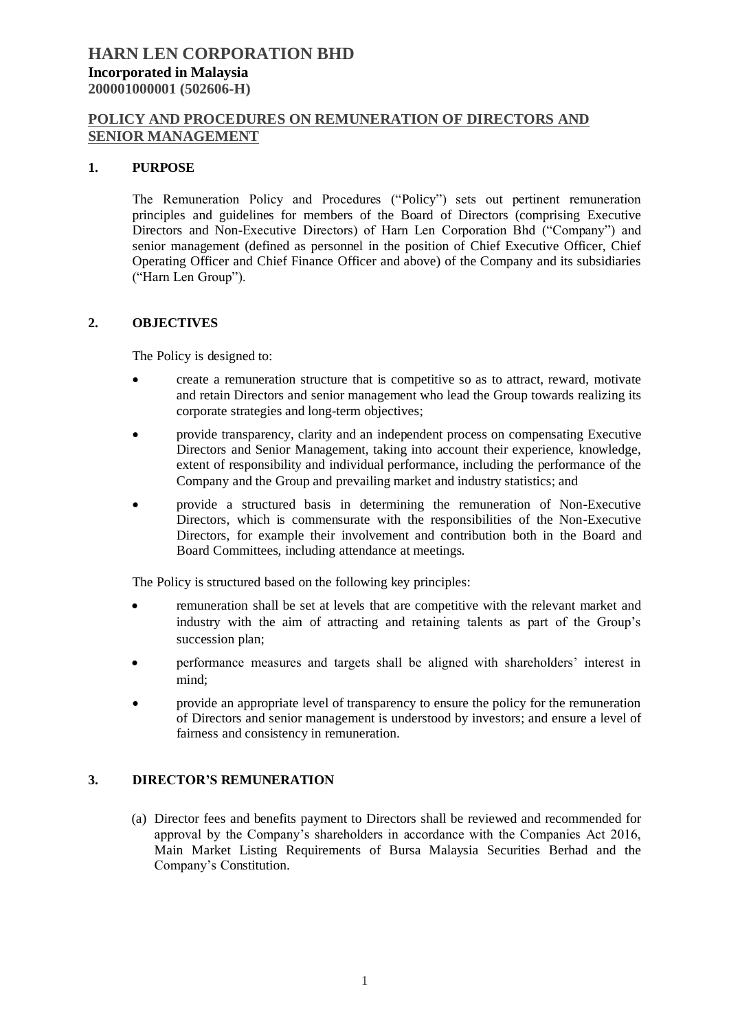### **POLICY AND PROCEDURES ON REMUNERATION OF DIRECTORS AND SENIOR MANAGEMENT**

#### **1. PURPOSE**

The Remuneration Policy and Procedures ("Policy") sets out pertinent remuneration principles and guidelines for members of the Board of Directors (comprising Executive Directors and Non-Executive Directors) of Harn Len Corporation Bhd ("Company") and senior management (defined as personnel in the position of Chief Executive Officer, Chief Operating Officer and Chief Finance Officer and above) of the Company and its subsidiaries ("Harn Len Group").

#### **2. OBJECTIVES**

The Policy is designed to:

- create a remuneration structure that is competitive so as to attract, reward, motivate and retain Directors and senior management who lead the Group towards realizing its corporate strategies and long-term objectives;
- provide transparency, clarity and an independent process on compensating Executive Directors and Senior Management, taking into account their experience, knowledge, extent of responsibility and individual performance, including the performance of the Company and the Group and prevailing market and industry statistics; and
- provide a structured basis in determining the remuneration of Non-Executive Directors, which is commensurate with the responsibilities of the Non-Executive Directors, for example their involvement and contribution both in the Board and Board Committees, including attendance at meetings.

The Policy is structured based on the following key principles:

- remuneration shall be set at levels that are competitive with the relevant market and industry with the aim of attracting and retaining talents as part of the Group's succession plan:
- performance measures and targets shall be aligned with shareholders' interest in mind;
- provide an appropriate level of transparency to ensure the policy for the remuneration of Directors and senior management is understood by investors; and ensure a level of fairness and consistency in remuneration.

### **3. DIRECTOR'S REMUNERATION**

(a) Director fees and benefits payment to Directors shall be reviewed and recommended for approval by the Company's shareholders in accordance with the Companies Act 2016, Main Market Listing Requirements of Bursa Malaysia Securities Berhad and the Company's Constitution.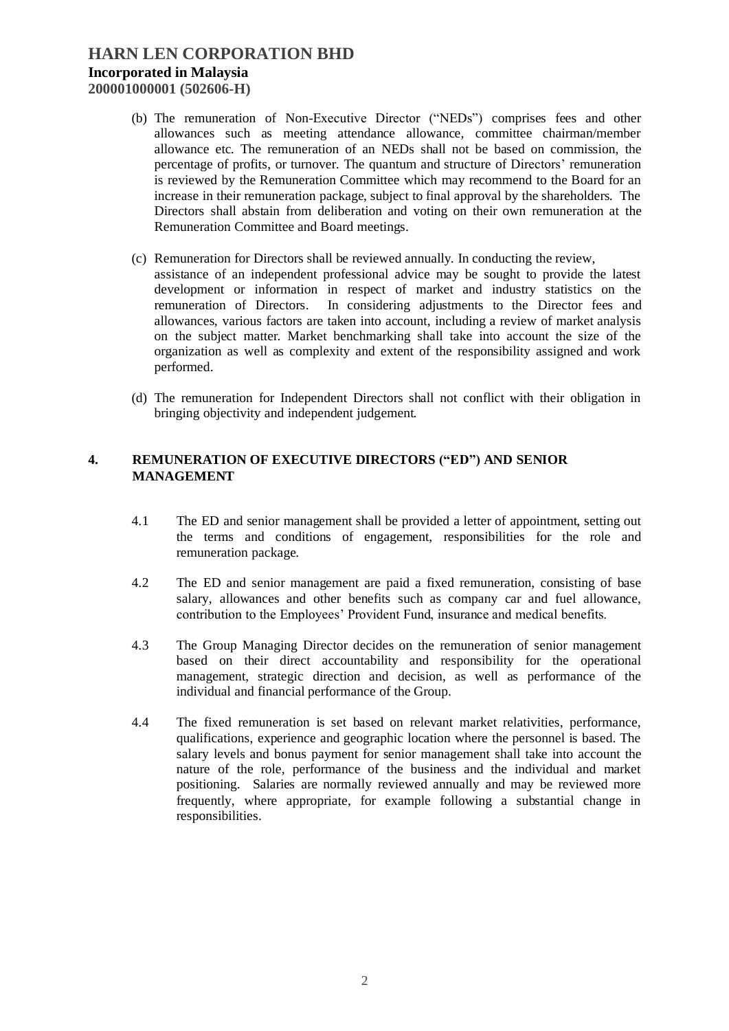# **HARN LEN CORPORATION BHD Incorporated in Malaysia 200001000001 (502606-H)**

- (b) The remuneration of Non-Executive Director ("NEDs") comprises fees and other allowances such as meeting attendance allowance, committee chairman/member allowance etc. The remuneration of an NEDs shall not be based on commission, the percentage of profits, or turnover. The quantum and structure of Directors' remuneration is reviewed by the Remuneration Committee which may recommend to the Board for an increase in their remuneration package, subject to final approval by the shareholders. The Directors shall abstain from deliberation and voting on their own remuneration at the Remuneration Committee and Board meetings.
- (c) Remuneration for Directors shall be reviewed annually. In conducting the review,
	- assistance of an independent professional advice may be sought to provide the latest development or information in respect of market and industry statistics on the remuneration of Directors. In considering adjustments to the Director fees and allowances, various factors are taken into account, including a review of market analysis on the subject matter. Market benchmarking shall take into account the size of the organization as well as complexity and extent of the responsibility assigned and work performed.
- (d) The remuneration for Independent Directors shall not conflict with their obligation in bringing objectivity and independent judgement.

#### **4. REMUNERATION OF EXECUTIVE DIRECTORS ("ED") AND SENIOR MANAGEMENT**

- 4.1 The ED and senior management shall be provided a letter of appointment, setting out the terms and conditions of engagement, responsibilities for the role and remuneration package.
- 4.2 The ED and senior management are paid a fixed remuneration, consisting of base salary, allowances and other benefits such as company car and fuel allowance, contribution to the Employees' Provident Fund, insurance and medical benefits.
- 4.3 The Group Managing Director decides on the remuneration of senior management based on their direct accountability and responsibility for the operational management, strategic direction and decision, as well as performance of the individual and financial performance of the Group.
- 4.4 The fixed remuneration is set based on relevant market relativities, performance, qualifications, experience and geographic location where the personnel is based. The salary levels and bonus payment for senior management shall take into account the nature of the role, performance of the business and the individual and market positioning. Salaries are normally reviewed annually and may be reviewed more frequently, where appropriate, for example following a substantial change in responsibilities.